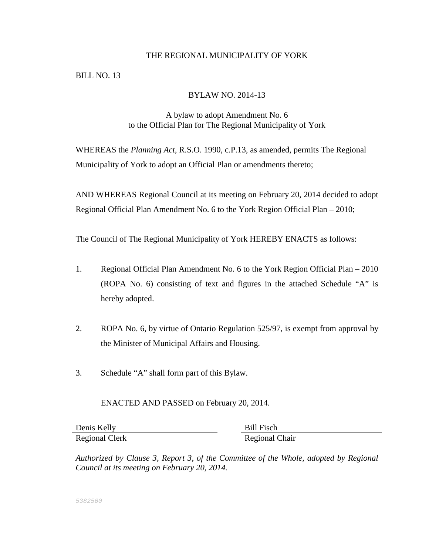#### THE REGIONAL MUNICIPALITY OF YORK

BILL NO. 13

## BYLAW NO. 2014-13

# A bylaw to adopt Amendment No. 6 to the Official Plan for The Regional Municipality of York

WHEREAS the *Planning Act*, R.S.O. 1990, c.P.13, as amended, permits The Regional Municipality of York to adopt an Official Plan or amendments thereto;

AND WHEREAS Regional Council at its meeting on February 20, 2014 decided to adopt Regional Official Plan Amendment No. 6 to the York Region Official Plan – 2010;

The Council of The Regional Municipality of York HEREBY ENACTS as follows:

- 1. Regional Official Plan Amendment No. 6 to the York Region Official Plan 2010 (ROPA No. 6) consisting of text and figures in the attached Schedule "A" is hereby adopted.
- 2. ROPA No. 6, by virtue of Ontario Regulation 525/97, is exempt from approval by the Minister of Municipal Affairs and Housing.
- 3. Schedule "A" shall form part of this Bylaw.

ENACTED AND PASSED on February 20, 2014.

Denis Kelly Bill Fisch Regional Clerk Regional Chair

*Authorized by Clause 3, Report 3, of the Committee of the Whole, adopted by Regional Council at its meeting on February 20, 2014.*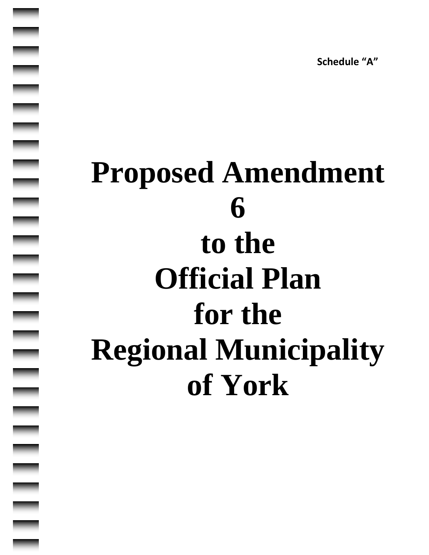**Schedule "A"**

# **Proposed Amendment 6 to the Official Plan for the Regional Municipality of York**

|<br>|<br>|<br>|<br>|<br>|<br>|<br>|<br><br><br><br><br><br><br><br><br><br><br>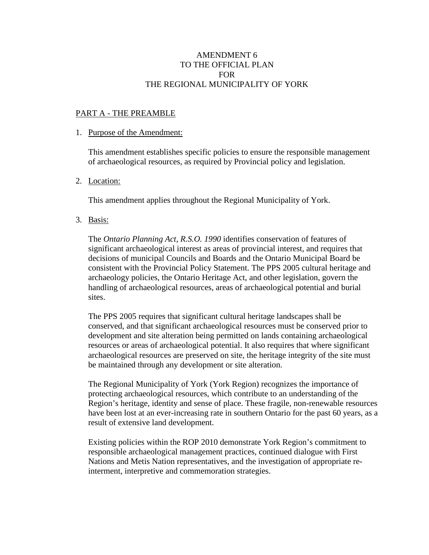# AMENDMENT 6 TO THE OFFICIAL PLAN FOR THE REGIONAL MUNICIPALITY OF YORK

#### PART A - THE PREAMBLE

#### 1. Purpose of the Amendment:

This amendment establishes specific policies to ensure the responsible management of archaeological resources, as required by Provincial policy and legislation.

## 2. Location:

This amendment applies throughout the Regional Municipality of York.

3. Basis:

The *Ontario Planning Act, R.S.O. 1990* identifies conservation of features of significant archaeological interest as areas of provincial interest, and requires that decisions of municipal Councils and Boards and the Ontario Municipal Board be consistent with the Provincial Policy Statement. The PPS 2005 cultural heritage and archaeology policies, the Ontario Heritage Act, and other legislation, govern the handling of archaeological resources, areas of archaeological potential and burial sites.

The PPS 2005 requires that significant cultural heritage landscapes shall be conserved, and that significant archaeological resources must be conserved prior to development and site alteration being permitted on lands containing archaeological resources or areas of archaeological potential. It also requires that where significant archaeological resources are preserved on site, the heritage integrity of the site must be maintained through any development or site alteration.

The Regional Municipality of York (York Region) recognizes the importance of protecting archaeological resources, which contribute to an understanding of the Region's heritage, identity and sense of place. These fragile, non-renewable resources have been lost at an ever-increasing rate in southern Ontario for the past 60 years, as a result of extensive land development.

Existing policies within the ROP 2010 demonstrate York Region's commitment to responsible archaeological management practices, continued dialogue with First Nations and Metis Nation representatives, and the investigation of appropriate reinterment, interpretive and commemoration strategies.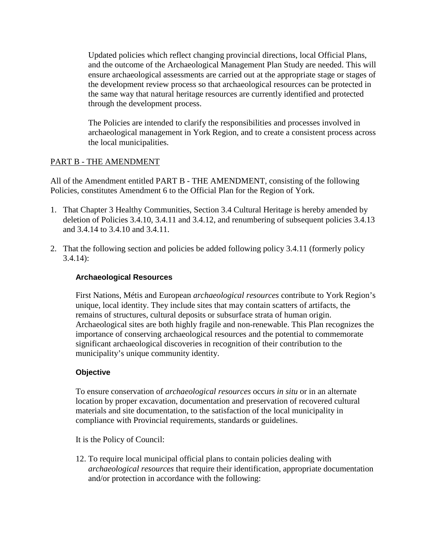Updated policies which reflect changing provincial directions, local Official Plans, and the outcome of the Archaeological Management Plan Study are needed. This will ensure archaeological assessments are carried out at the appropriate stage or stages of the development review process so that archaeological resources can be protected in the same way that natural heritage resources are currently identified and protected through the development process.

The Policies are intended to clarify the responsibilities and processes involved in archaeological management in York Region, and to create a consistent process across the local municipalities.

# PART B - THE AMENDMENT

All of the Amendment entitled PART B - THE AMENDMENT, consisting of the following Policies, constitutes Amendment 6 to the Official Plan for the Region of York.

- 1. That Chapter 3 Healthy Communities, Section 3.4 Cultural Heritage is hereby amended by deletion of Policies 3.4.10, 3.4.11 and 3.4.12, and renumbering of subsequent policies 3.4.13 and 3.4.14 to 3.4.10 and 3.4.11.
- 2. That the following section and policies be added following policy 3.4.11 (formerly policy 3.4.14):

# **Archaeological Resources**

First Nations, Métis and European *archaeological resources* contribute to York Region's unique, local identity. They include sites that may contain scatters of artifacts, the remains of structures, cultural deposits or subsurface strata of human origin. Archaeological sites are both highly fragile and non-renewable. This Plan recognizes the importance of conserving archaeological resources and the potential to commemorate significant archaeological discoveries in recognition of their contribution to the municipality's unique community identity.

# **Objective**

To ensure conservation of *archaeological resources* occurs *in situ* or in an alternate location by proper excavation, documentation and preservation of recovered cultural materials and site documentation, to the satisfaction of the local municipality in compliance with Provincial requirements, standards or guidelines.

It is the Policy of Council:

12. To require local municipal official plans to contain policies dealing with *archaeological resources* that require their identification, appropriate documentation and/or protection in accordance with the following: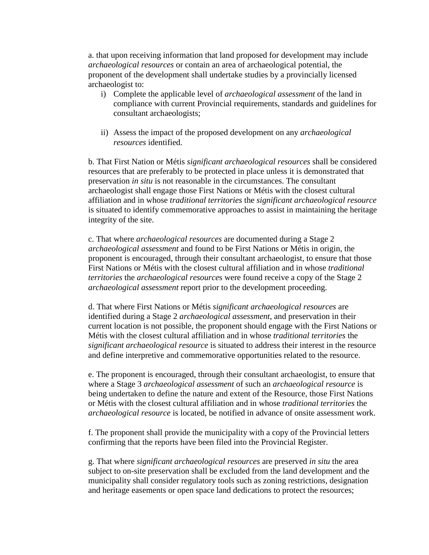a. that upon receiving information that land proposed for development may include *archaeological resources* or contain an area of archaeological potential, the proponent of the development shall undertake studies by a provincially licensed archaeologist to:

- i) Complete the applicable level of *archaeological assessment* of the land in compliance with current Provincial requirements, standards and guidelines for consultant archaeologists;
- ii) Assess the impact of the proposed development on any *archaeological resources* identified.

b. That First Nation or Métis *significant archaeological resources* shall be considered resources that are preferably to be protected in place unless it is demonstrated that preservation *in situ* is not reasonable in the circumstances. The consultant archaeologist shall engage those First Nations or Métis with the closest cultural affiliation and in whose *traditional territories* the *significant archaeological resource* is situated to identify commemorative approaches to assist in maintaining the heritage integrity of the site.

c. That where *archaeological resources* are documented during a Stage 2 *archaeological assessment* and found to be First Nations or Métis in origin, the proponent is encouraged, through their consultant archaeologist, to ensure that those First Nations or Métis with the closest cultural affiliation and in whose *traditional territories* the *archaeological resource*s were found receive a copy of the Stage 2 *archaeological assessment* report prior to the development proceeding.

d. That where First Nations or Métis *significant archaeological resources* are identified during a Stage 2 *archaeological assessment*, and preservation in their current location is not possible, the proponent should engage with the First Nations or Métis with the closest cultural affiliation and in whose *traditional territories* the *significant archaeological resource* is situated to address their interest in the resource and define interpretive and commemorative opportunities related to the resource.

e. The proponent is encouraged, through their consultant archaeologist, to ensure that where a Stage 3 *archaeological assessment* of such an *archaeological resource* is being undertaken to define the nature and extent of the Resource, those First Nations or Métis with the closest cultural affiliation and in whose *traditional territories* the *archaeological resource* is located, be notified in advance of onsite assessment work.

f. The proponent shall provide the municipality with a copy of the Provincial letters confirming that the reports have been filed into the Provincial Register.

g. That where *significant archaeological resources* are preserved *in situ* the area subject to on-site preservation shall be excluded from the land development and the municipality shall consider regulatory tools such as zoning restrictions, designation and heritage easements or open space land dedications to protect the resources;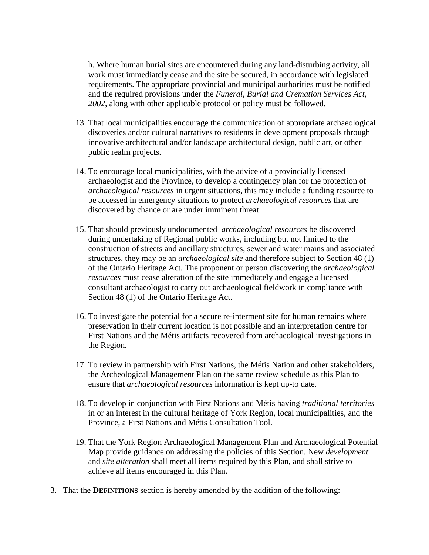h. Where human burial sites are encountered during any land-disturbing activity, all work must immediately cease and the site be secured, in accordance with legislated requirements. The appropriate provincial and municipal authorities must be notified and the required provisions under the *Funeral, Burial and Cremation Services Act, 2002*, along with other applicable protocol or policy must be followed.

- 13. That local municipalities encourage the communication of appropriate archaeological discoveries and/or cultural narratives to residents in development proposals through innovative architectural and/or landscape architectural design, public art, or other public realm projects.
- 14. To encourage local municipalities, with the advice of a provincially licensed archaeologist and the Province, to develop a contingency plan for the protection of *archaeological resources* in urgent situations, this may include a funding resource to be accessed in emergency situations to protect *archaeological resources* that are discovered by chance or are under imminent threat.
- 15. That should previously undocumented *archaeological resources* be discovered during undertaking of Regional public works, including but not limited to the construction of streets and ancillary structures, sewer and water mains and associated structures, they may be an *archaeological site* and therefore subject to Section 48 (1) of the Ontario Heritage Act. The proponent or person discovering the *archaeological resources* must cease alteration of the site immediately and engage a licensed consultant archaeologist to carry out archaeological fieldwork in compliance with Section 48 (1) of the Ontario Heritage Act.
- 16. To investigate the potential for a secure re-interment site for human remains where preservation in their current location is not possible and an interpretation centre for First Nations and the Métis artifacts recovered from archaeological investigations in the Region.
- 17. To review in partnership with First Nations, the Métis Nation and other stakeholders, the Archeological Management Plan on the same review schedule as this Plan to ensure that *archaeological resources* information is kept up-to date.
- 18. To develop in conjunction with First Nations and Métis having *traditional territories* in or an interest in the cultural heritage of York Region, local municipalities, and the Province, a First Nations and Métis Consultation Tool.
- 19. That the York Region Archaeological Management Plan and Archaeological Potential Map provide guidance on addressing the policies of this Section. New *development* and *site alteration* shall meet all items required by this Plan, and shall strive to achieve all items encouraged in this Plan.
- 3. That the **DEFINITIONS** section is hereby amended by the addition of the following: